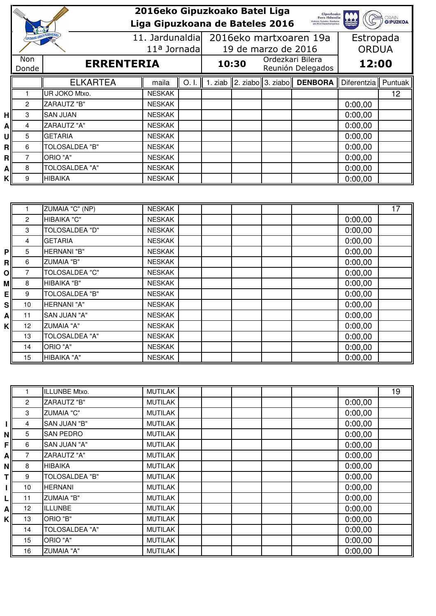|    |                                        |                       | 2016eko Gipuzkoako Batel Liga<br>Gipuzkoako<br>Foru Aldundia                                                   |                 |  |                        |                             |                                       |              |         |  |
|----|----------------------------------------|-----------------------|----------------------------------------------------------------------------------------------------------------|-----------------|--|------------------------|-----------------------------|---------------------------------------|--------------|---------|--|
|    |                                        |                       | <b>GRAIN</b><br><b>Kultura, Turismo, Gazteria</b><br>eta Keal Departamentua<br>Liga Gipuzkoana de Bateles 2016 |                 |  |                        |                             |                                       |              |         |  |
|    | <b>GIPUZKOAKO ARRAIN FEDERAKINZIE.</b> |                       |                                                                                                                | 11. Jardunaldia |  | 2016eko martxoaren 19a |                             |                                       | Estropada    |         |  |
|    |                                        |                       |                                                                                                                | $11a$ Jornada   |  |                        | 19 de marzo de 2016         |                                       | <b>ORDUA</b> |         |  |
|    | Non<br><b>ERRENTERIA</b><br>Donde      |                       |                                                                                                                |                 |  | 10:30                  |                             | Ordezkari Bilera<br>Reunión Delegados |              | 12:00   |  |
|    |                                        | <b>ELKARTEA</b>       | maila                                                                                                          | O.1             |  |                        | 1. ziab 2. ziabo 3. ziabo I | <b>DENBORA</b>                        | Diferentzia  | Puntuak |  |
|    |                                        | UR JOKO Mtxo.         | <b>NESKAK</b>                                                                                                  |                 |  |                        |                             |                                       |              | 12      |  |
|    | 2                                      | ZARAUTZ "B"           | <b>NESKAK</b>                                                                                                  |                 |  |                        |                             |                                       | 0:00,00      |         |  |
| нl | 3                                      | <b>SAN JUAN</b>       | <b>NESKAK</b>                                                                                                  |                 |  |                        |                             |                                       | 0:00,00      |         |  |
| Α  | 4                                      | ZARAUTZ "A"           | <b>NESKAK</b>                                                                                                  |                 |  |                        |                             |                                       | 0:00,00      |         |  |
| U  | 5                                      | <b>GETARIA</b>        | <b>NESKAK</b>                                                                                                  |                 |  |                        |                             |                                       | 0:00,00      |         |  |
| Rl | 6                                      | TOLOSALDEA "B"        | <b>NESKAK</b>                                                                                                  |                 |  |                        |                             |                                       | 0:00,00      |         |  |
| R  | 7                                      | ORIO "A"              | <b>NESKAK</b>                                                                                                  |                 |  |                        |                             |                                       | 0:00,00      |         |  |
| Al | 8                                      | <b>TOLOSALDEA "A"</b> | <b>NESKAK</b>                                                                                                  |                 |  |                        |                             |                                       | 0:00,00      |         |  |
| Kl | 9                                      | HIBAIKA               | <b>NESKAK</b>                                                                                                  |                 |  |                        |                             |                                       | 0:00,00      |         |  |

|           |                 | ZUMAIA "C" (NP)       | <b>NESKAK</b> |  |  |         | 17 |
|-----------|-----------------|-----------------------|---------------|--|--|---------|----|
|           | $\overline{2}$  | HIBAIKA "C"           | <b>NESKAK</b> |  |  | 0:00,00 |    |
|           | 3               | <b>TOLOSALDEA "D"</b> | <b>NESKAK</b> |  |  | 0:00,00 |    |
|           | 4               | <b>GETARIA</b>        | <b>NESKAK</b> |  |  | 0:00,00 |    |
| PI        | 5               | HERNANI "B"           | <b>NESKAK</b> |  |  | 0:00,00 |    |
| RI        | 6               | <b>ZUMAIA "B"</b>     | <b>NESKAK</b> |  |  | 0:00,00 |    |
| Οl        | 7               | <b>TOLOSALDEA "C"</b> | <b>NESKAK</b> |  |  | 0:00,00 |    |
| мl        | 8               | HIBAIKA "B"           | <b>NESKAK</b> |  |  | 0:00,00 |    |
| Ell       | 9               | <b>TOLOSALDEA "B"</b> | <b>NESKAK</b> |  |  | 0:00,00 |    |
| <b>SI</b> | 10              | HERNANI "A"           | <b>NESKAK</b> |  |  | 0:00,00 |    |
| ΑI        | 11              | SAN JUAN "A"          | <b>NESKAK</b> |  |  | 0:00,00 |    |
| κI        | 12 <sup>2</sup> | <b>ZUMAIA "A"</b>     | <b>NESKAK</b> |  |  | 0:00,00 |    |
|           | 13              | <b>TOLOSALDEA "A"</b> | <b>NESKAK</b> |  |  | 0:00,00 |    |
|           | 14              | ORIO "A"              | <b>NESKAK</b> |  |  | 0:00,00 |    |
|           | 15              | HIBAIKA "A"           | <b>NESKAK</b> |  |  | 0:00,00 |    |

|    |              | ILLUNBE Mtxo.         | <b>MUTILAK</b> |  |  |         | 19 |
|----|--------------|-----------------------|----------------|--|--|---------|----|
|    | $\mathbf{2}$ | ZARAUTZ "B"           | <b>MUTILAK</b> |  |  | 0:00,00 |    |
|    | 3            | <b>ZUMAIA "C"</b>     | <b>MUTILAK</b> |  |  | 0:00,00 |    |
|    | 4            | SAN JUAN "B"          | <b>MUTILAK</b> |  |  | 0:00,00 |    |
| ΝI | 5            | <b>SAN PEDRO</b>      | <b>MUTILAK</b> |  |  | 0:00,00 |    |
| FI | 6            | SAN JUAN "A"          | <b>MUTILAK</b> |  |  | 0:00,00 |    |
| ΑI | 7            | ZARAUTZ "A"           | <b>MUTILAK</b> |  |  | 0:00,00 |    |
| ΝI | 8            | <b>HIBAIKA</b>        | <b>MUTILAK</b> |  |  | 0:00,00 |    |
| Τl | 9            | <b>TOLOSALDEA "B"</b> | <b>MUTILAK</b> |  |  | 0:00,00 |    |
|    | 10           | <b>HERNANI</b>        | <b>MUTILAK</b> |  |  | 0:00,00 |    |
| LI | 11           | <b>ZUMAIA "B"</b>     | <b>MUTILAK</b> |  |  | 0:00,00 |    |
| Αl | 12           | <b>ILLUNBE</b>        | <b>MUTILAK</b> |  |  | 0:00,00 |    |
| κI | 13           | ORIO "B"              | <b>MUTILAK</b> |  |  | 0:00,00 |    |
|    | 14           | <b>TOLOSALDEA "A"</b> | <b>MUTILAK</b> |  |  | 0:00,00 |    |
|    | 15           | ORIO "A"              | <b>MUTILAK</b> |  |  | 0:00,00 |    |
|    | 16           | <b>ZUMAIA "A"</b>     | <b>MUTILAK</b> |  |  | 0:00,00 |    |